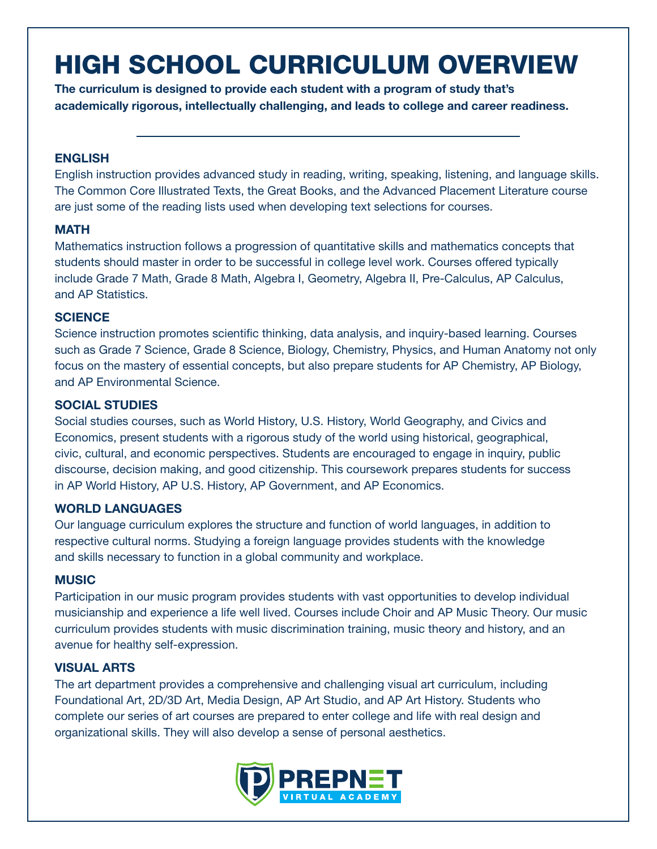# HIGH SCHOOL CURRICULUM OVERVIEW

The curriculum is designed to provide each student with a program of study that's academically rigorous, intellectually challenging, and leads to college and career readiness.

## **ENGLISH**

English instruction provides advanced study in reading, writing, speaking, listening, and language skills. The Common Core Illustrated Texts, the Great Books, and the Advanced Placement Literature course are just some of the reading lists used when developing text selections for courses.

# **MATH**

Mathematics instruction follows a progression of quantitative skills and mathematics concepts that students should master in order to be successful in college level work. Courses offered typically include Grade 7 Math, Grade 8 Math, Algebra I, Geometry, Algebra II, Pre-Calculus, AP Calculus, and AP Statistics.

## **SCIENCE**

Science instruction promotes scientific thinking, data analysis, and inquiry-based learning. Courses such as Grade 7 Science, Grade 8 Science, Biology, Chemistry, Physics, and Human Anatomy not only focus on the mastery of essential concepts, but also prepare students for AP Chemistry, AP Biology, and AP Environmental Science.

## SOCIAL STUDIES

Social studies courses, such as World History, U.S. History, World Geography, and Civics and Economics, present students with a rigorous study of the world using historical, geographical, civic, cultural, and economic perspectives. Students are encouraged to engage in inquiry, public discourse, decision making, and good citizenship. This coursework prepares students for success in AP World History, AP U.S. History, AP Government, and AP Economics.

# WORLD LANGUAGES

Our language curriculum explores the structure and function of world languages, in addition to respective cultural norms. Studying a foreign language provides students with the knowledge and skills necessary to function in a global community and workplace.

#### **MUSIC**

Participation in our music program provides students with vast opportunities to develop individual musicianship and experience a life well lived. Courses include Choir and AP Music Theory. Our music curriculum provides students with music discrimination training, music theory and history, and an avenue for healthy self-expression.

# VISUAL ARTS

The art department provides a comprehensive and challenging visual art curriculum, including Foundational Art, 2D/3D Art, Media Design, AP Art Studio, and AP Art History. Students who complete our series of art courses are prepared to enter college and life with real design and organizational skills. They will also develop a sense of personal aesthetics.